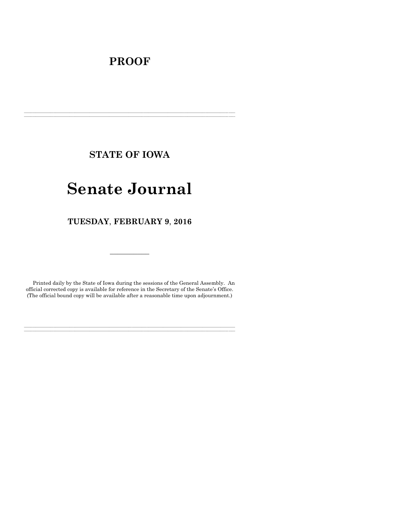# **PROOF**

**STATE OF IOWA**

**\_\_\_\_\_\_\_\_\_\_\_\_\_\_\_\_\_\_\_\_\_\_\_\_\_\_\_\_\_\_\_\_\_\_\_\_\_\_\_\_\_\_\_\_\_\_\_\_\_\_\_\_\_\_\_\_\_\_\_\_\_\_\_\_\_\_\_\_\_\_\_\_\_\_\_\_\_\_\_\_\_\_\_\_\_\_\_\_\_\_\_\_\_\_\_\_\_\_\_\_\_\_\_\_\_\_\_\_\_\_\_\_\_\_\_\_\_\_\_\_\_\_\_\_\_\_\_\_\_ \_\_\_\_\_\_\_\_\_\_\_\_\_\_\_\_\_\_\_\_\_\_\_\_\_\_\_\_\_\_\_\_\_\_\_\_\_\_\_\_\_\_\_\_\_\_\_\_\_\_\_\_\_\_\_\_\_\_\_\_\_\_\_\_\_\_\_\_\_\_\_\_\_\_\_\_\_\_\_\_\_\_\_\_\_\_\_\_\_\_\_\_\_\_\_\_\_\_\_\_\_\_\_\_\_\_\_\_\_\_\_\_\_\_\_\_\_\_\_\_\_\_\_\_\_\_\_\_\_**

# **Senate Journal**

**TUESDAY**, **FEBRUARY 9**, **2016**

Printed daily by the State of Iowa during the sessions of the General Assembly. An official corrected copy is available for reference in the Secretary of the Senate's Office. (The official bound copy will be available after a reasonable time upon adjournment.)

**\_\_\_\_\_\_\_\_\_\_\_\_\_\_\_\_\_\_\_\_\_\_\_\_\_\_\_\_\_\_\_\_\_\_\_\_\_\_\_\_\_\_\_\_\_\_\_\_\_\_\_\_\_\_\_\_\_\_\_\_\_\_\_\_\_\_\_\_\_\_\_\_\_\_\_\_\_\_\_\_\_\_\_\_\_\_\_\_\_\_\_\_\_\_\_\_\_\_\_\_\_\_\_\_\_\_\_\_\_\_\_\_\_\_\_\_\_\_\_\_\_\_\_\_\_\_\_\_\_ \_\_\_\_\_\_\_\_\_\_\_\_\_\_\_\_\_\_\_\_\_\_\_\_\_\_\_\_\_\_\_\_\_\_\_\_\_\_\_\_\_\_\_\_\_\_\_\_\_\_\_\_\_\_\_\_\_\_\_\_\_\_\_\_\_\_\_\_\_\_\_\_\_\_\_\_\_\_\_\_\_\_\_\_\_\_\_\_\_\_\_\_\_\_\_\_\_\_\_\_\_\_\_\_\_\_\_\_\_\_\_\_\_\_\_\_\_\_\_\_\_\_\_\_\_\_\_\_\_**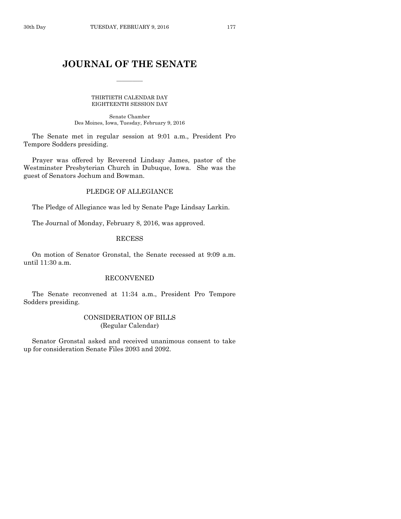## **JOURNAL OF THE SENATE**

 $\frac{1}{2}$ 

#### THIRTIETH CALENDAR DAY EIGHTEENTH SESSION DAY

Senate Chamber Des Moines, Iowa, Tuesday, February 9, 2016

The Senate met in regular session at 9:01 a.m., President Pro Tempore Sodders presiding.

Prayer was offered by Reverend Lindsay James, pastor of the Westminster Presbyterian Church in Dubuque, Iowa. She was the guest of Senators Jochum and Bowman.

## PLEDGE OF ALLEGIANCE

The Pledge of Allegiance was led by Senate Page Lindsay Larkin.

The Journal of Monday, February 8, 2016, was approved.

## RECESS

On motion of Senator Gronstal, the Senate recessed at 9:09 a.m. until 11:30 a.m.

## RECONVENED

The Senate reconvened at 11:34 a.m., President Pro Tempore Sodders presiding.

## CONSIDERATION OF BILLS (Regular Calendar)

Senator Gronstal asked and received unanimous consent to take up for consideration Senate Files 2093 and 2092.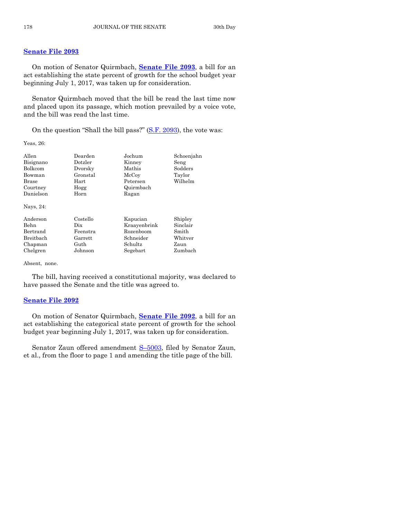## **[Senate File 2093](http://coolice.legis.iowa.gov/Cool-ICE/default.asp?Category=billinfo&Service=Billbook&frame=1&GA=86&hbill=SF2093)**

On motion of Senator Quirmbach, **[Senate File 2093](http://coolice.legis.iowa.gov/Cool-ICE/default.asp?Category=billinfo&Service=Billbook&frame=1&GA=86&hbill=SF2093)**, a bill for an act establishing the state percent of growth for the school budget year beginning July 1, 2017, was taken up for consideration.

Senator Quirmbach moved that the bill be read the last time now and placed upon its passage, which motion prevailed by a voice vote, and the bill was read the last time.

On the question "Shall the bill pass?" [\(S.F. 2093\)](http://coolice.legis.iowa.gov/Cool-ICE/default.asp?Category=billinfo&Service=Billbook&frame=1&GA=86&hbill=SF2093), the vote was:

Yeas, 26:

| Allen     | Dearden  | Jochum       | Schoenjahn |
|-----------|----------|--------------|------------|
| Bisignano | Dotzler  | Kinney       | Seng       |
| Bolkcom   | Dvorsky  | Mathis       | Sodders    |
| Bowman    | Gronstal | McCoy        | Taylor     |
| Brase     | Hart     | Petersen     | Wilhelm    |
| Courtney  | Hogg     | Quirmbach    |            |
| Danielson | Horn     | Ragan        |            |
| Nays, 24: |          |              |            |
| Anderson  | Costello | Kapucian     | Shipley    |
| Behn      | Dix      | Kraayenbrink | Sinclair   |
| Bertrand  | Feenstra | Rozenboom    | Smith      |
| Breitbach | Garrett  | Schneider    | Whitver    |
| Chapman   | Guth     | Schultz      | Zaun       |
| Chelgren  | Johnson  | Segebart     | Zumbach    |
|           |          |              |            |

Absent, none.

The bill, having received a constitutional majority, was declared to have passed the Senate and the title was agreed to.

## **[Senate File 2092](http://coolice.legis.iowa.gov/Cool-ICE/default.asp?Category=billinfo&Service=Billbook&frame=1&GA=86&hbill=SF2092)**

On motion of Senator Quirmbach, **[Senate File 2092](http://coolice.legis.iowa.gov/Cool-ICE/default.asp?Category=billinfo&Service=Billbook&frame=1&GA=86&hbill=SF2092)**, a bill for an act establishing the categorical state percent of growth for the school budget year beginning July 1, 2017, was taken up for consideration.

Senator Zaun offered amendment S-[5003,](http://coolice.legis.iowa.gov/Cool-ICE/default.asp?Category=billinfo&Service=Billbook&frame=1&GA=86&hbill=S5003) filed by Senator Zaun, et al., from the floor to page 1 and amending the title page of the bill.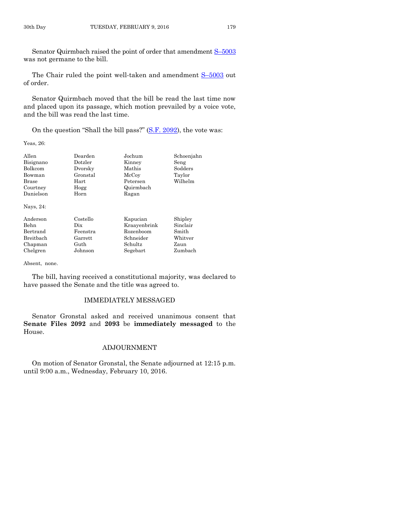Senator Quirmbach raised the point of order that amendment S–[5003](http://coolice.legis.iowa.gov/Cool-ICE/default.asp?Category=billinfo&Service=Billbook&frame=1&GA=86&hbill=S5003) was not germane to the bill.

The Chair ruled the point well-taken and amendment S-[5003](http://coolice.legis.iowa.gov/Cool-ICE/default.asp?Category=billinfo&Service=Billbook&frame=1&GA=86&hbill=S5003) out of order.

Senator Quirmbach moved that the bill be read the last time now and placed upon its passage, which motion prevailed by a voice vote, and the bill was read the last time.

On the question "Shall the bill pass?" [\(S.F. 2092\)](http://coolice.legis.iowa.gov/Cool-ICE/default.asp?Category=billinfo&Service=Billbook&frame=1&GA=86&hbill=SF2092), the vote was:

Yeas, 26:

| Allen<br>Bisignano | Dearden<br>Dotzler | Jochum<br>Kinney | Schoenjahn<br>Seng |
|--------------------|--------------------|------------------|--------------------|
| Bolkcom            | Dvorsky            | Mathis           | Sodders            |
| Bowman             | Gronstal           | McCoy            | Taylor             |
| Brase              | Hart               | Petersen         | Wilhelm            |
| Courtney           | Hogg               | Quirmbach        |                    |
| Danielson          | Horn               | Ragan            |                    |
| Nays, 24:          |                    |                  |                    |
| Anderson           | Costello           | Kapucian         | Shipley            |
| Behn               | Dix                | Kraayenbrink     | Sinclair           |
| Bertrand           | Feenstra           | Rozenboom        | Smith              |
| Breitbach          | Garrett            | Schneider        | Whitver            |
| Chapman            | Guth               | Schultz          | Zaun               |
| Chelgren           | Johnson            | Segebart         | Zumbach            |

Absent, none.

The bill, having received a constitutional majority, was declared to have passed the Senate and the title was agreed to.

## IMMEDIATELY MESSAGED

Senator Gronstal asked and received unanimous consent that **Senate Files 2092** and **2093** be **immediately messaged** to the House.

## ADJOURNMENT

On motion of Senator Gronstal, the Senate adjourned at 12:15 p.m. until 9:00 a.m., Wednesday, February 10, 2016.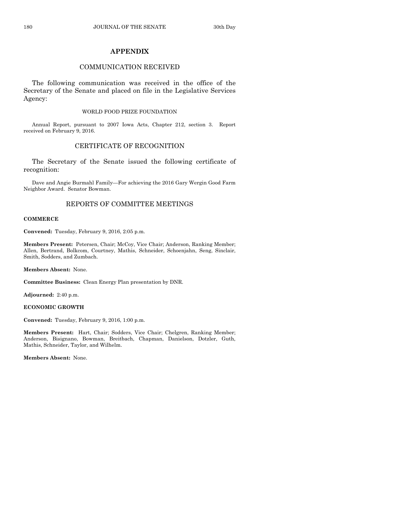## **APPENDIX**

## COMMUNICATION RECEIVED

The following communication was received in the office of the Secretary of the Senate and placed on file in the Legislative Services Agency:

#### WORLD FOOD PRIZE FOUNDATION

Annual Report, pursuant to 2007 Iowa Acts, Chapter 212, section 3. Report received on February 9, 2016.

## CERTIFICATE OF RECOGNITION

The Secretary of the Senate issued the following certificate of recognition:

Dave and Angie Burmahl Family—For achieving the 2016 Gary Wergin Good Farm Neighbor Award. Senator Bowman.

## REPORTS OF COMMITTEE MEETINGS

#### **COMMERCE**

**Convened:** Tuesday, February 9, 2016, 2:05 p.m.

**Members Present:** Petersen, Chair; McCoy, Vice Chair; Anderson, Ranking Member; Allen, Bertrand, Bolkcom, Courtney, Mathis, Schneider, Schoenjahn, Seng, Sinclair, Smith, Sodders, and Zumbach.

**Members Absent:** None.

**Committee Business:** Clean Energy Plan presentation by DNR.

**Adjourned:** 2:40 p.m.

#### **ECONOMIC GROWTH**

**Convened:** Tuesday, February 9, 2016, 1:00 p.m.

**Members Present:** Hart, Chair; Sodders, Vice Chair; Chelgren, Ranking Member; Anderson, Bisignano, Bowman, Breitbach, Chapman, Danielson, Dotzler, Guth, Mathis, Schneider, Taylor, and Wilhelm.

**Members Absent:** None.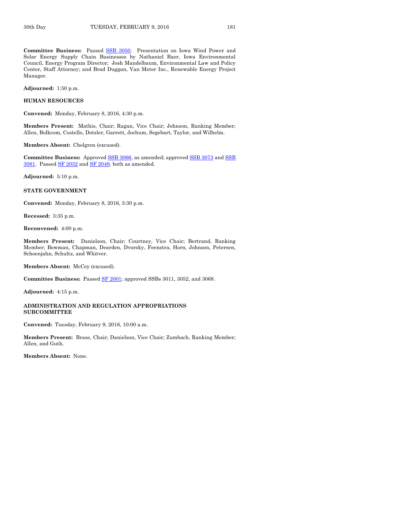**Committee Business:** Passed [SSB 3050.](http://coolice.legis.iowa.gov/Cool-ICE/default.asp?Category=billinfo&Service=Billbook&frame=1&GA=86&hbill=SSB3050) Presentation on Iowa Wind Power and Solar Energy Supply Chain Businesses by Nathaniel Baer, Iowa Environmental Council, Energy Program Director; Josh Mandelbaum, Environmental Law and Policy Center, Staff Attorney; and Brad Duggan, Van Meter Inc., Renewable Energy Project Manager.

**Adjourned:** 1:50 p.m.

#### **HUMAN RESOURCES**

**Convened:** Monday, February 8, 2016, 4:30 p.m.

**Members Present:** Mathis, Chair; Ragan, Vice Chair; Johnson, Ranking Member; Allen, Bolkcom, Costello, Dotzler, Garrett, Jochum, Segebart, Taylor, and Wilhelm.

**Members Absent:** Chelgren (excused).

**Committee Business:** Approved [SSB 3066,](http://coolice.legis.iowa.gov/Cool-ICE/default.asp?Category=billinfo&Service=Billbook&frame=1&GA=86&hbill=SSB3066) as amended; approved [SSB 3073](http://coolice.legis.iowa.gov/Cool-ICE/default.asp?Category=billinfo&Service=Billbook&frame=1&GA=86&hbill=SSB3073) and [SSB](http://coolice.legis.iowa.gov/Cool-ICE/default.asp?Category=billinfo&Service=Billbook&frame=1&GA=86&hbill=SSB3081)   $3081$ . Passed SF  $2032$  and SF  $2049$ , both as amended.

**Adjourned:** 5:10 p.m.

#### **STATE GOVERNMENT**

**Convened:** Monday, February 8, 2016, 3:30 p.m.

**Recessed:** 3:35 p.m.

**Reconvened:** 4:00 p.m.

**Members Present:** Danielson, Chair; Courtney, Vice Chair; Bertrand, Ranking Member; Bowman, Chapman, Dearden, Dvorsky, Feenstra, Horn, Johnson, Petersen, Schoenjahn, Schultz, and Whitver.

**Members Absent:** McCoy (excused).

**Committee Business:** Passed [SF 2001;](http://coolice.legis.iowa.gov/Cool-ICE/default.asp?Category=billinfo&Service=Billbook&frame=1&GA=86&hbill=SF2001) approved SSBs 3011, 3052, and 3068.

**Adjourned:** 4:15 p.m.

#### **ADMINISTRATION AND REGULATION APPROPRIATIONS SUBCOMMITTEE**

**Convened:** Tuesday, February 9, 2016, 10:00 a.m.

**Members Present:** Brase, Chair; Danielson, Vice Chair; Zumbach, Ranking Member; Allen, and Guth.

**Members Absent:** None.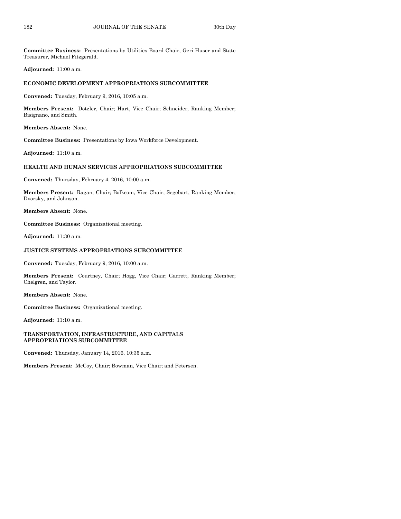**Committee Business:** Presentations by Utilities Board Chair, Geri Huser and State Treasurer, Michael Fitzgerald.

**Adjourned:** 11:00 a.m.

## **ECONOMIC DEVELOPMENT APPROPRIATIONS SUBCOMMITTEE**

**Convened:** Tuesday, February 9, 2016, 10:05 a.m.

**Members Present:** Dotzler, Chair; Hart, Vice Chair; Schneider, Ranking Member; Bisignano, and Smith.

**Members Absent:** None.

**Committee Business:** Presentations by Iowa Workforce Development.

**Adjourned:** 11:10 a.m.

#### **HEALTH AND HUMAN SERVICES APPROPRIATIONS SUBCOMMITTEE**

**Convened:** Thursday, February 4, 2016, 10:00 a.m.

**Members Present:** Ragan, Chair; Bolkcom, Vice Chair; Segebart, Ranking Member; Dvorsky, and Johnson.

**Members Absent:** None.

**Committee Business:** Organizational meeting.

**Adjourned:** 11:30 a.m.

#### **JUSTICE SYSTEMS APPROPRIATIONS SUBCOMMITTEE**

**Convened:** Tuesday, February 9, 2016, 10:00 a.m.

**Members Present:** Courtney, Chair; Hogg, Vice Chair; Garrett, Ranking Member; Chelgren, and Taylor.

**Members Absent:** None.

**Committee Business:** Organizational meeting.

**Adjourned:** 11:10 a.m.

#### **TRANSPORTATION, INFRASTRUCTURE, AND CAPITALS APPROPRIATIONS SUBCOMMITTEE**

**Convened:** Thursday, January 14, 2016, 10:35 a.m.

**Members Present:** McCoy, Chair; Bowman, Vice Chair; and Petersen.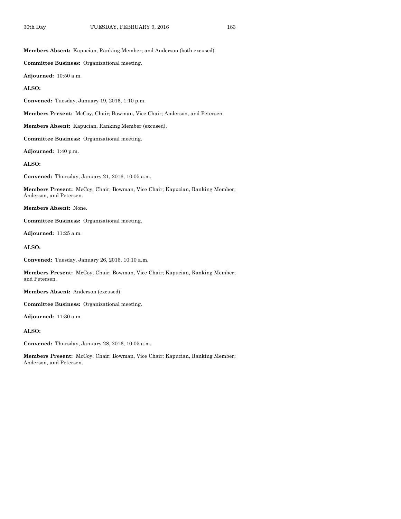**Members Absent:** Kapucian, Ranking Member; and Anderson (both excused).

**Committee Business:** Organizational meeting.

**Adjourned:** 10:50 a.m.

**ALSO:**

**Convened:** Tuesday, January 19, 2016, 1:10 p.m.

**Members Present:** McCoy, Chair; Bowman, Vice Chair; Anderson, and Petersen.

**Members Absent:** Kapucian, Ranking Member (excused).

**Committee Business:** Organizational meeting.

**Adjourned:** 1:40 p.m.

**ALSO:**

**Convened:** Thursday, January 21, 2016, 10:05 a.m.

**Members Present:** McCoy, Chair; Bowman, Vice Chair; Kapucian, Ranking Member; Anderson, and Petersen.

**Members Absent:** None.

**Committee Business:** Organizational meeting.

**Adjourned:** 11:25 a.m.

**ALSO:**

**Convened:** Tuesday, January 26, 2016, 10:10 a.m.

**Members Present:** McCoy, Chair; Bowman, Vice Chair; Kapucian, Ranking Member; and Petersen.

**Members Absent:** Anderson (excused).

**Committee Business:** Organizational meeting.

**Adjourned:** 11:30 a.m.

**ALSO:**

**Convened:** Thursday, January 28, 2016, 10:05 a.m.

**Members Present:** McCoy, Chair; Bowman, Vice Chair; Kapucian, Ranking Member; Anderson, and Petersen.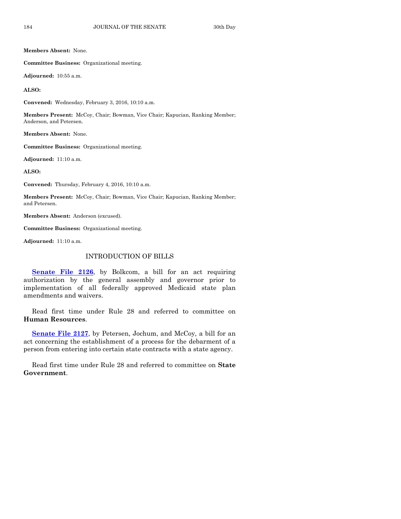**Members Absent:** None.

**Committee Business:** Organizational meeting.

**Adjourned:** 10:55 a.m.

**ALSO:**

**Convened:** Wednesday, February 3, 2016, 10:10 a.m.

**Members Present:** McCoy, Chair; Bowman, Vice Chair; Kapucian, Ranking Member; Anderson, and Petersen.

**Members Absent:** None.

**Committee Business:** Organizational meeting.

**Adjourned:** 11:10 a.m.

**ALSO:**

**Convened:** Thursday, February 4, 2016, 10:10 a.m.

**Members Present:** McCoy, Chair; Bowman, Vice Chair; Kapucian, Ranking Member; and Petersen.

**Members Absent:** Anderson (excused).

**Committee Business:** Organizational meeting.

**Adjourned:** 11:10 a.m.

## INTRODUCTION OF BILLS

**[Senate File 2126](http://coolice.legis.iowa.gov/Cool-ICE/default.asp?Category=billinfo&Service=Billbook&frame=1&GA=86&hbill=SF2126)**, by Bolkcom, a bill for an act requiring authorization by the general assembly and governor prior to implementation of all federally approved Medicaid state plan amendments and waivers.

Read first time under Rule 28 and referred to committee on **Human Resources**.

**[Senate File 2127](http://coolice.legis.iowa.gov/Cool-ICE/default.asp?Category=billinfo&Service=Billbook&frame=1&GA=86&hbill=SF2127)**, by Petersen, Jochum, and McCoy, a bill for an act concerning the establishment of a process for the debarment of a person from entering into certain state contracts with a state agency.

Read first time under Rule 28 and referred to committee on **State Government**.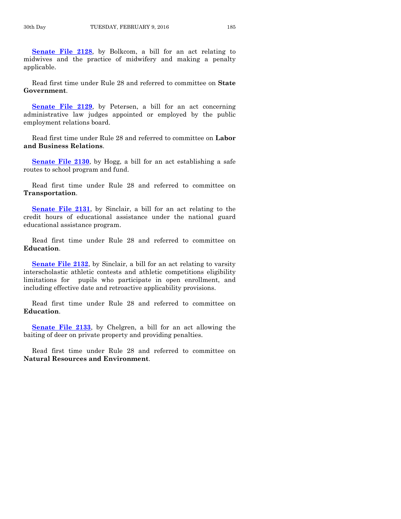**[Senate File 2128](http://coolice.legis.iowa.gov/Cool-ICE/default.asp?Category=billinfo&Service=Billbook&frame=1&GA=86&hbill=SF2128)**, by Bolkcom, a bill for an act relating to midwives and the practice of midwifery and making a penalty applicable.

Read first time under Rule 28 and referred to committee on **State Government**.

**[Senate File 2129](http://coolice.legis.iowa.gov/Cool-ICE/default.asp?Category=billinfo&Service=Billbook&frame=1&GA=86&hbill=SF2129)**, by Petersen, a bill for an act concerning administrative law judges appointed or employed by the public employment relations board.

Read first time under Rule 28 and referred to committee on **Labor and Business Relations**.

**[Senate File 2130](http://coolice.legis.iowa.gov/Cool-ICE/default.asp?Category=billinfo&Service=Billbook&frame=1&GA=86&hbill=SF2130)**, by Hogg, a bill for an act establishing a safe routes to school program and fund.

Read first time under Rule 28 and referred to committee on **Transportation**.

**[Senate File 2131](http://coolice.legis.iowa.gov/Cool-ICE/default.asp?Category=billinfo&Service=Billbook&frame=1&GA=86&hbill=SF2131)**, by Sinclair, a bill for an act relating to the credit hours of educational assistance under the national guard educational assistance program.

Read first time under Rule 28 and referred to committee on **Education**.

**[Senate File 2132](http://coolice.legis.iowa.gov/Cool-ICE/default.asp?Category=billinfo&Service=Billbook&frame=1&GA=86&hbill=SF2132)**, by Sinclair, a bill for an act relating to varsity interscholastic athletic contests and athletic competitions eligibility limitations for pupils who participate in open enrollment, and including effective date and retroactive applicability provisions.

Read first time under Rule 28 and referred to committee on **Education**.

**[Senate File 2133](http://coolice.legis.iowa.gov/Cool-ICE/default.asp?Category=billinfo&Service=Billbook&frame=1&GA=86&hbill=SF2133)**, by Chelgren, a bill for an act allowing the baiting of deer on private property and providing penalties.

Read first time under Rule 28 and referred to committee on **Natural Resources and Environment**.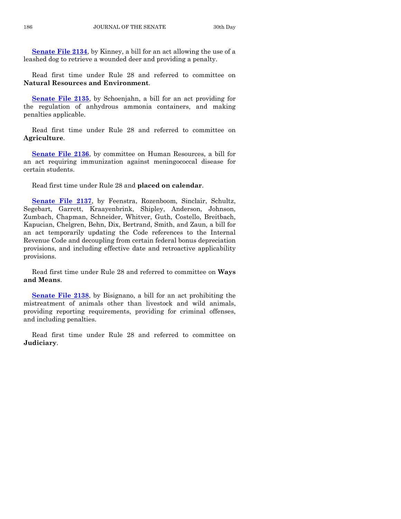**[Senate File 2134](http://coolice.legis.iowa.gov/Cool-ICE/default.asp?Category=billinfo&Service=Billbook&frame=1&GA=86&hbill=SF2134)**, by Kinney, a bill for an act allowing the use of a leashed dog to retrieve a wounded deer and providing a penalty.

Read first time under Rule 28 and referred to committee on **Natural Resources and Environment**.

**[Senate File 2135](http://coolice.legis.iowa.gov/Cool-ICE/default.asp?Category=billinfo&Service=Billbook&frame=1&GA=86&hbill=SF2135)**, by Schoenjahn, a bill for an act providing for the regulation of anhydrous ammonia containers, and making penalties applicable.

Read first time under Rule 28 and referred to committee on **Agriculture**.

**[Senate File 2136](http://coolice.legis.iowa.gov/Cool-ICE/default.asp?Category=billinfo&Service=Billbook&frame=1&GA=86&hbill=SF2136)**, by committee on Human Resources, a bill for an act requiring immunization against meningococcal disease for certain students.

Read first time under Rule 28 and **placed on calendar**.

**[Senate File 2137](http://coolice.legis.iowa.gov/Cool-ICE/default.asp?Category=billinfo&Service=Billbook&frame=1&GA=86&hbill=SF2137)**, by Feenstra, Rozenboom, Sinclair, Schultz, Segebart, Garrett, Kraayenbrink, Shipley, Anderson, Johnson, Zumbach, Chapman, Schneider, Whitver, Guth, Costello, Breitbach, Kapucian, Chelgren, Behn, Dix, Bertrand, Smith, and Zaun, a bill for an act temporarily updating the Code references to the Internal Revenue Code and decoupling from certain federal bonus depreciation provisions, and including effective date and retroactive applicability provisions.

Read first time under Rule 28 and referred to committee on **Ways and Means**.

**[Senate File 2138](http://coolice.legis.iowa.gov/Cool-ICE/default.asp?Category=billinfo&Service=Billbook&frame=1&GA=86&hbill=SF2138)**, by Bisignano, a bill for an act prohibiting the mistreatment of animals other than livestock and wild animals, providing reporting requirements, providing for criminal offenses, and including penalties.

Read first time under Rule 28 and referred to committee on **Judiciary**.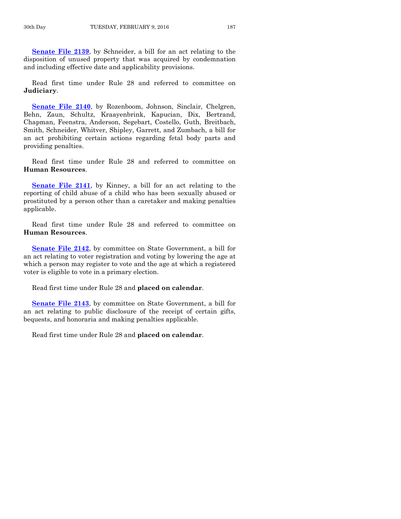**[Senate File 2139](http://coolice.legis.iowa.gov/Cool-ICE/default.asp?Category=billinfo&Service=Billbook&frame=1&GA=86&hbill=SF2139)**, by Schneider, a bill for an act relating to the disposition of unused property that was acquired by condemnation and including effective date and applicability provisions.

Read first time under Rule 28 and referred to committee on **Judiciary**.

**[Senate File 2140](http://coolice.legis.iowa.gov/Cool-ICE/default.asp?Category=billinfo&Service=Billbook&frame=1&GA=86&hbill=SF2140)**, by Rozenboom, Johnson, Sinclair, Chelgren, Behn, Zaun, Schultz, Kraayenbrink, Kapucian, Dix, Bertrand, Chapman, Feenstra, Anderson, Segebart, Costello, Guth, Breitbach, Smith, Schneider, Whitver, Shipley, Garrett, and Zumbach, a bill for an act prohibiting certain actions regarding fetal body parts and providing penalties.

Read first time under Rule 28 and referred to committee on **Human Resources**.

**[Senate File 2141](http://coolice.legis.iowa.gov/Cool-ICE/default.asp?Category=billinfo&Service=Billbook&frame=1&GA=86&hbill=SF2141)**, by Kinney, a bill for an act relating to the reporting of child abuse of a child who has been sexually abused or prostituted by a person other than a caretaker and making penalties applicable.

Read first time under Rule 28 and referred to committee on **Human Resources**.

**[Senate File 2142](http://coolice.legis.iowa.gov/Cool-ICE/default.asp?Category=billinfo&Service=Billbook&frame=1&GA=86&hbill=SF2142)**, by committee on State Government, a bill for an act relating to voter registration and voting by lowering the age at which a person may register to vote and the age at which a registered voter is eligible to vote in a primary election.

Read first time under Rule 28 and **placed on calendar**.

**[Senate File 2143](http://coolice.legis.iowa.gov/Cool-ICE/default.asp?Category=billinfo&Service=Billbook&frame=1&GA=86&hbill=SF2143)**, by committee on State Government, a bill for an act relating to public disclosure of the receipt of certain gifts, bequests, and honoraria and making penalties applicable.

Read first time under Rule 28 and **placed on calendar**.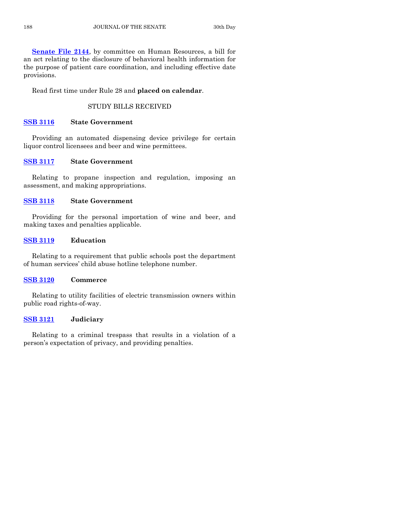**[Senate File 2144](http://coolice.legis.iowa.gov/Cool-ICE/default.asp?Category=billinfo&Service=Billbook&frame=1&GA=86&hbill=SF2144)**, by committee on Human Resources, a bill for an act relating to the disclosure of behavioral health information for the purpose of patient care coordination, and including effective date provisions.

Read first time under Rule 28 and **placed on calendar**.

## STUDY BILLS RECEIVED

## **[SSB 3116](http://coolice.legis.iowa.gov/Cool-ICE/default.asp?Category=billinfo&Service=Billbook&frame=1&GA=86&hbill=SSB3116) State Government**

Providing an automated dispensing device privilege for certain liquor control licensees and beer and wine permittees.

## **[SSB 3117](http://coolice.legis.iowa.gov/Cool-ICE/default.asp?Category=billinfo&Service=Billbook&frame=1&GA=86&hbill=SSB3117) State Government**

Relating to propane inspection and regulation, imposing an assessment, and making appropriations.

## **[SSB 3118](http://coolice.legis.iowa.gov/Cool-ICE/default.asp?Category=billinfo&Service=Billbook&frame=1&GA=86&hbill=SSB3118) State Government**

Providing for the personal importation of wine and beer, and making taxes and penalties applicable.

## **[SSB 3119](http://coolice.legis.iowa.gov/Cool-ICE/default.asp?Category=billinfo&Service=Billbook&frame=1&GA=86&hbill=SSB3119) Education**

Relating to a requirement that public schools post the department of human services' child abuse hotline telephone number.

## **[SSB 3120](http://coolice.legis.iowa.gov/Cool-ICE/default.asp?Category=billinfo&Service=Billbook&frame=1&GA=86&hbill=SSB3120) Commerce**

Relating to utility facilities of electric transmission owners within public road rights-of-way.

## **[SSB 3121](http://coolice.legis.iowa.gov/Cool-ICE/default.asp?Category=billinfo&Service=Billbook&frame=1&GA=86&hbill=SSB3121) Judiciary**

Relating to a criminal trespass that results in a violation of a person's expectation of privacy, and providing penalties.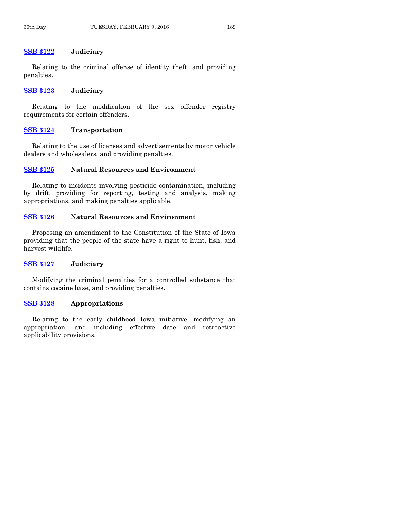## **[SSB 3122](http://coolice.legis.iowa.gov/Cool-ICE/default.asp?Category=billinfo&Service=Billbook&frame=1&GA=86&hbill=SSB3122) Judiciary**

Relating to the criminal offense of identity theft, and providing penalties.

#### **[SSB 3123](http://coolice.legis.iowa.gov/Cool-ICE/default.asp?Category=billinfo&Service=Billbook&frame=1&GA=86&hbill=SSB3123) Judiciary**

Relating to the modification of the sex offender registry requirements for certain offenders.

## **[SSB 3124](http://coolice.legis.iowa.gov/Cool-ICE/default.asp?Category=billinfo&Service=Billbook&frame=1&GA=86&hbill=SSB3124) Transportation**

Relating to the use of licenses and advertisements by motor vehicle dealers and wholesalers, and providing penalties.

## **[SSB 3125](http://coolice.legis.iowa.gov/Cool-ICE/default.asp?Category=billinfo&Service=Billbook&frame=1&GA=86&hbill=SSB3125) Natural Resources and Environment**

Relating to incidents involving pesticide contamination, including by drift, providing for reporting, testing and analysis, making appropriations, and making penalties applicable.

## **[SSB 3126](http://coolice.legis.iowa.gov/Cool-ICE/default.asp?Category=billinfo&Service=Billbook&frame=1&GA=86&hbill=SSB3126) Natural Resources and Environment**

Proposing an amendment to the Constitution of the State of Iowa providing that the people of the state have a right to hunt, fish, and harvest wildlife.

## **[SSB 3127](http://coolice.legis.iowa.gov/Cool-ICE/default.asp?Category=billinfo&Service=Billbook&frame=1&GA=86&hbill=SSB3127) Judiciary**

Modifying the criminal penalties for a controlled substance that contains cocaine base, and providing penalties.

## **[SSB 3128](http://coolice.legis.iowa.gov/Cool-ICE/default.asp?Category=billinfo&Service=Billbook&frame=1&GA=86&hbill=SSB3128) Appropriations**

Relating to the early childhood Iowa initiative, modifying an appropriation, and including effective date and retroactive applicability provisions.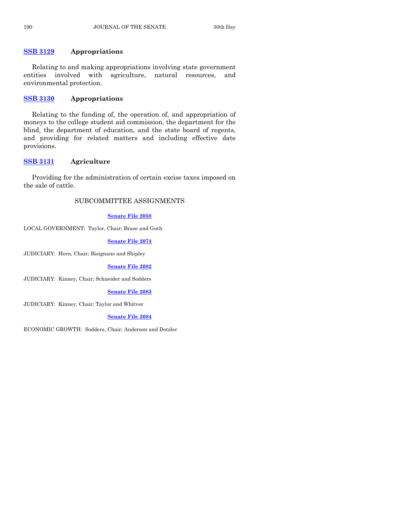## **[SSB 3129](http://coolice.legis.iowa.gov/Cool-ICE/default.asp?Category=billinfo&Service=Billbook&frame=1&GA=86&hbill=SSB3129) Appropriations**

Relating to and making appropriations involving state government entities involved with agriculture, natural resources, and environmental protection.

## **[SSB 3130](http://coolice.legis.iowa.gov/Cool-ICE/default.asp?Category=billinfo&Service=Billbook&frame=1&GA=86&hbill=SSB3130) Appropriations**

Relating to the funding of, the operation of, and appropriation of moneys to the college student aid commission, the department for the blind, the department of education, and the state board of regents, and providing for related matters and including effective date provisions.

## **[SSB 3131](http://coolice.legis.iowa.gov/Cool-ICE/default.asp?Category=billinfo&Service=Billbook&frame=1&GA=86&hbill=SSB3131) Agriculture**

Providing for the administration of certain excise taxes imposed on the sale of cattle.

## SUBCOMMITTEE ASSIGNMENTS

## **[Senate File 2058](http://coolice.legis.iowa.gov/Cool-ICE/default.asp?Category=billinfo&Service=Billbook&frame=1&GA=86&hbill=SF2058)**

LOCAL GOVERNMENT: Taylor, Chair; Brase and Guth

**[Senate File 2074](http://coolice.legis.iowa.gov/Cool-ICE/default.asp?Category=billinfo&Service=Billbook&frame=1&GA=86&hbill=SF2074)**

JUDICIARY: Horn, Chair; Bisignano and Shipley

**[Senate File 2082](http://coolice.legis.iowa.gov/Cool-ICE/default.asp?Category=billinfo&Service=Billbook&frame=1&GA=86&hbill=SF2082)**

JUDICIARY: Kinney, Chair; Schneider and Sodders

## **[Senate File 2083](http://coolice.legis.iowa.gov/Cool-ICE/default.asp?Category=billinfo&Service=Billbook&frame=1&GA=86&hbill=SF2083)**

JUDICIARY: Kinney, Chair; Taylor and Whitver

**Senate [File 2084](http://coolice.legis.iowa.gov/Cool-ICE/default.asp?Category=billinfo&Service=Billbook&frame=1&GA=86&hbill=SF2084)**

ECONOMIC GROWTH: Sodders, Chair; Anderson and Dotzler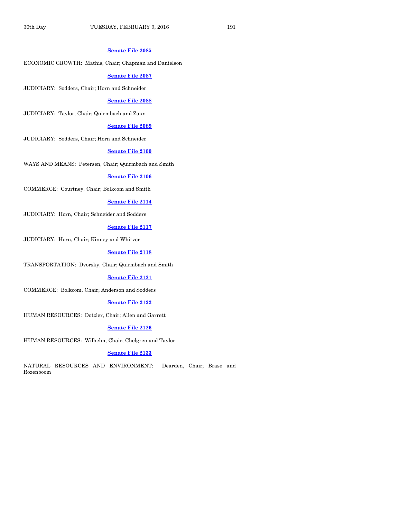#### **[Senate File 2085](http://coolice.legis.iowa.gov/Cool-ICE/default.asp?Category=billinfo&Service=Billbook&frame=1&GA=86&hbill=SF2085)**

## ECONOMIC GROWTH: Mathis, Chair; Chapman and Danielson

#### **[Senate File 2087](http://coolice.legis.iowa.gov/Cool-ICE/default.asp?Category=billinfo&Service=Billbook&frame=1&GA=86&hbill=SF2087)**

JUDICIARY: Sodders, Chair; Horn and Schneider

### **[Senate File 2088](http://coolice.legis.iowa.gov/Cool-ICE/default.asp?Category=billinfo&Service=Billbook&frame=1&GA=86&hbill=SF2088)**

JUDICIARY: Taylor, Chair; Quirmbach and Zaun

#### **[Senate File 2089](http://coolice.legis.iowa.gov/Cool-ICE/default.asp?Category=billinfo&Service=Billbook&frame=1&GA=86&hbill=SF2089)**

JUDICIARY: Sodders, Chair; Horn and Schneider

## **[Senate File 2100](http://coolice.legis.iowa.gov/Cool-ICE/default.asp?Category=billinfo&Service=Billbook&frame=1&GA=86&hbill=SF2100)**

WAYS AND MEANS: Petersen, Chair; Quirmbach and Smith

#### **[Senate File 2106](http://coolice.legis.iowa.gov/Cool-ICE/default.asp?Category=billinfo&Service=Billbook&frame=1&GA=86&hbill=SF2106)**

COMMERCE: Courtney, Chair; Bolkcom and Smith

#### **[Senate File 2114](http://coolice.legis.iowa.gov/Cool-ICE/default.asp?Category=billinfo&Service=Billbook&frame=1&GA=86&hbill=SF2114)**

JUDICIARY: Horn, Chair; Schneider and Sodders

## **[Senate File 2117](http://coolice.legis.iowa.gov/Cool-ICE/default.asp?Category=billinfo&Service=Billbook&frame=1&GA=86&hbill=SF2117)**

JUDICIARY: Horn, Chair; Kinney and Whitver

#### **[Senate File 2118](http://coolice.legis.iowa.gov/Cool-ICE/default.asp?Category=billinfo&Service=Billbook&frame=1&GA=86&hbill=SF2118)**

TRANSPORTATION: Dvorsky, Chair; Quirmbach and Smith

### **[Senate File 2121](http://coolice.legis.iowa.gov/Cool-ICE/default.asp?Category=billinfo&Service=Billbook&frame=1&GA=86&hbill=SF2121)**

COMMERCE: Bolkcom, Chair; Anderson and Sodders

#### **Senate [File 2122](http://coolice.legis.iowa.gov/Cool-ICE/default.asp?Category=billinfo&Service=Billbook&frame=1&GA=86&hbill=SF2122)**

HUMAN RESOURCES: Dotzler, Chair; Allen and Garrett

## **[Senate File 2126](http://coolice.legis.iowa.gov/Cool-ICE/default.asp?Category=billinfo&Service=Billbook&frame=1&GA=86&hbill=SF2126)**

HUMAN RESOURCES: Wilhelm, Chair; Chelgren and Taylor

#### **[Senate File 2133](http://coolice.legis.iowa.gov/Cool-ICE/default.asp?Category=billinfo&Service=Billbook&frame=1&GA=86&hbill=SF2133)**

NATURAL RESOURCES AND ENVIRONMENT: Dearden, Chair; Brase and Rozenboom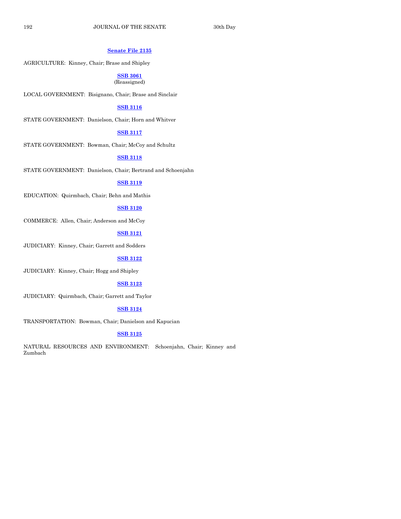#### **[Senate File 2135](http://coolice.legis.iowa.gov/Cool-ICE/default.asp?Category=billinfo&Service=Billbook&frame=1&GA=86&hbill=SF2135)**

AGRICULTURE: Kinney, Chair; Brase and Shipley

#### **[SSB 3061](http://coolice.legis.iowa.gov/Cool-ICE/default.asp?Category=billinfo&Service=Billbook&frame=1&GA=86&hbill=SSB3061)** (Reassigned)

LOCAL GOVERNMENT: Bisignano, Chair; Brase and Sinclair

## **[SSB 3116](http://coolice.legis.iowa.gov/Cool-ICE/default.asp?Category=billinfo&Service=Billbook&frame=1&GA=86&hbill=SSB3116)**

STATE GOVERNMENT: Danielson, Chair; Horn and Whitver

## **[SSB 3117](http://coolice.legis.iowa.gov/Cool-ICE/default.asp?Category=billinfo&Service=Billbook&frame=1&GA=86&hbill=SSB3117)**

STATE GOVERNMENT: Bowman, Chair; McCoy and Schultz

#### **[SSB 3118](http://coolice.legis.iowa.gov/Cool-ICE/default.asp?Category=billinfo&Service=Billbook&frame=1&GA=86&hbill=SSB3118)**

STATE GOVERNMENT: Danielson, Chair; Bertrand and Schoenjahn

## **[SSB 3119](http://coolice.legis.iowa.gov/Cool-ICE/default.asp?Category=billinfo&Service=Billbook&frame=1&GA=86&hbill=SSB3119)**

EDUCATION: Quirmbach, Chair; Behn and Mathis

## **[SSB 3120](http://coolice.legis.iowa.gov/Cool-ICE/default.asp?Category=billinfo&Service=Billbook&frame=1&GA=86&hbill=SSB3120)**

COMMERCE: Allen, Chair; Anderson and McCoy

#### **[SSB 3121](http://coolice.legis.iowa.gov/Cool-ICE/default.asp?Category=billinfo&Service=Billbook&frame=1&GA=86&hbill=SSB3121)**

JUDICIARY: Kinney, Chair; Garrett and Sodders

## **[SSB 3122](http://coolice.legis.iowa.gov/Cool-ICE/default.asp?Category=billinfo&Service=Billbook&frame=1&GA=86&hbill=SSB3122)**

JUDICIARY: Kinney, Chair; Hogg and Shipley

#### **[SSB 3123](http://coolice.legis.iowa.gov/Cool-ICE/default.asp?Category=billinfo&Service=Billbook&frame=1&GA=86&hbill=SSB3123)**

JUDICIARY: Quirmbach, Chair; Garrett and Taylor

## **[SSB 3124](http://coolice.legis.iowa.gov/Cool-ICE/default.asp?Category=billinfo&Service=Billbook&frame=1&GA=86&hbill=SSB3124)**

TRANSPORTATION: Bowman, Chair; Danielson and Kapucian

## **[SSB 3125](http://coolice.legis.iowa.gov/Cool-ICE/default.asp?Category=billinfo&Service=Billbook&frame=1&GA=86&hbill=SSB3125)**

NATURAL RESOURCES AND ENVIRONMENT: Schoenjahn, Chair; Kinney and Zumbach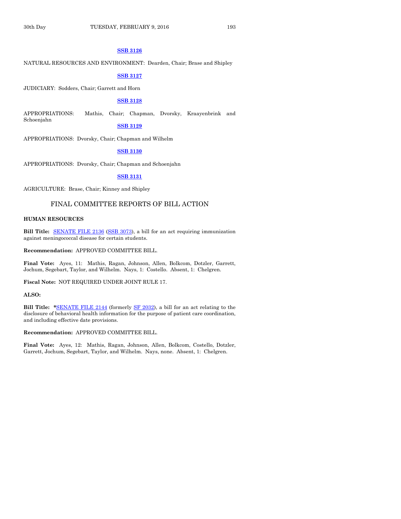## **[SSB 3126](http://coolice.legis.iowa.gov/Cool-ICE/default.asp?Category=billinfo&Service=Billbook&frame=1&GA=86&hbill=SSB3126)**

NATURAL RESOURCES AND ENVIRONMENT: Dearden, Chair; Brase and Shipley

#### **[SSB 3127](http://coolice.legis.iowa.gov/Cool-ICE/default.asp?Category=billinfo&Service=Billbook&frame=1&GA=86&hbill=SSB3127)**

JUDICIARY: Sodders, Chair; Garrett and Horn

## **[SSB 3128](http://coolice.legis.iowa.gov/Cool-ICE/default.asp?Category=billinfo&Service=Billbook&frame=1&GA=86&hbill=SSB3128)**

APPROPRIATIONS: Mathis, Chair; Chapman, Dvorsky, Kraayenbrink and Schoenjahn

#### **[SSB 3129](http://coolice.legis.iowa.gov/Cool-ICE/default.asp?Category=billinfo&Service=Billbook&frame=1&GA=86&hbill=SSB3129)**

APPROPRIATIONS: Dvorsky, Chair; Chapman and Wilhelm

## **[SSB 3130](http://coolice.legis.iowa.gov/Cool-ICE/default.asp?Category=billinfo&Service=Billbook&frame=1&GA=86&hbill=SSB3130)**

APPROPRIATIONS: Dvorsky, Chair; Chapman and Schoenjahn

## **[SSB 3131](http://coolice.legis.iowa.gov/Cool-ICE/default.asp?Category=billinfo&Service=Billbook&frame=1&GA=86&hbill=SSB3131)**

AGRICULTURE: Brase, Chair; Kinney and Shipley

## FINAL COMMITTEE REPORTS OF BILL ACTION

#### **HUMAN RESOURCES**

**Bill Title:** [SENATE FILE 2136](http://coolice.legis.iowa.gov/Cool-ICE/default.asp?Category=billinfo&Service=Billbook&frame=1&GA=86&hbill=SF2136) [\(SSB 3073\)](http://coolice.legis.iowa.gov/Cool-ICE/default.asp?Category=billinfo&Service=Billbook&frame=1&GA=86&hbill=SSB3073), a bill for an act requiring immunization against meningococcal disease for certain students.

**Recommendation:** APPROVED COMMITTEE BILL.

**Final Vote:** Ayes, 11: Mathis, Ragan, Johnson, Allen, Bolkcom, Dotzler, Garrett, Jochum, Segebart, Taylor, and Wilhelm. Nays, 1: Costello. Absent, 1: Chelgren.

**Fiscal Note:** NOT REQUIRED UNDER JOINT RULE 17.

## **ALSO:**

**Bill Title: \***[SENATE FILE 2144](http://coolice.legis.iowa.gov/Cool-ICE/default.asp?Category=billinfo&Service=Billbook&frame=1&GA=86&hbill=SF2144) (formerly [SF 2032\),](http://coolice.legis.iowa.gov/Cool-ICE/default.asp?Category=billinfo&Service=Billbook&frame=1&GA=86&hbill=SF2032) a bill for an act relating to the disclosure of behavioral health information for the purpose of patient care coordination, and including effective date provisions.

**Recommendation:** APPROVED COMMITTEE BILL.

**Final Vote:** Ayes, 12: Mathis, Ragan, Johnson, Allen, Bolkcom, Costello, Dotzler, Garrett, Jochum, Segebart, Taylor, and Wilhelm. Nays, none. Absent, 1: Chelgren.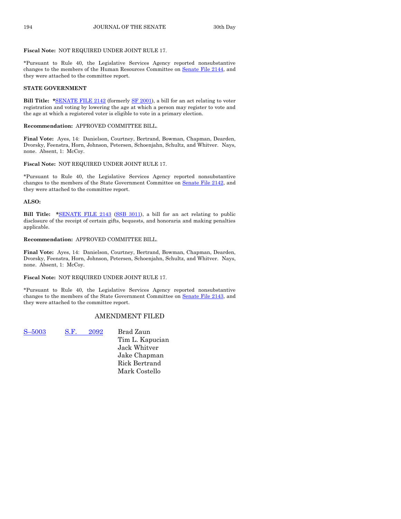#### **Fiscal Note:** NOT REQUIRED UNDER JOINT RULE 17.

\*Pursuant to Rule 40, the Legislative Services Agency reported nonsubstantive changes to the members of the Human Resources Committee on Senate [File 2144,](http://coolice.legis.iowa.gov/Cool-ICE/default.asp?Category=billinfo&Service=Billbook&frame=1&GA=86&hbill=SF2144) and they were attached to the committee report.

#### **STATE GOVERNMENT**

**Bill Title: \***[SENATE FILE 2142](http://coolice.legis.iowa.gov/Cool-ICE/default.asp?Category=billinfo&Service=Billbook&frame=1&GA=86&hbill=SF2142) (formerly [SF 2001\)](http://coolice.legis.iowa.gov/Cool-ICE/default.asp?Category=billinfo&Service=Billbook&frame=1&GA=86&hbill=SF2001), a bill for an act relating to voter registration and voting by lowering the age at which a person may register to vote and the age at which a registered voter is eligible to vote in a primary election.

#### **Recommendation:** APPROVED COMMITTEE BILL.

**Final Vote:** Ayes, 14: Danielson, Courtney, Bertrand, Bowman, Chapman, Dearden, Dvorsky, Feenstra, Horn, Johnson, Petersen, Schoenjahn, Schultz, and Whitver. Nays, none. Absent, 1: McCoy.

#### **Fiscal Note:** NOT REQUIRED UNDER JOINT RULE 17.

\*Pursuant to Rule 40, the Legislative Services Agency reported nonsubstantive changes to the members of the State Government Committee on Senate [File 2142,](http://coolice.legis.iowa.gov/Cool-ICE/default.asp?Category=billinfo&Service=Billbook&frame=1&GA=86&hbill=SF2142) and they were attached to the committee report.

#### **ALSO:**

**Bill Title: \***[SENATE FILE 2143](http://coolice.legis.iowa.gov/Cool-ICE/default.asp?Category=billinfo&Service=Billbook&frame=1&GA=86&hbill=SF2143) [\(SSB 3011\)](http://coolice.legis.iowa.gov/Cool-ICE/default.asp?Category=billinfo&Service=Billbook&frame=1&GA=86&hbill=SSB3011), a bill for an act relating to public disclosure of the receipt of certain gifts, bequests, and honoraria and making penalties applicable.

#### **Recommendation:** APPROVED COMMITTEE BILL.

**Final Vote:** Ayes, 14: Danielson, Courtney, Bertrand, Bowman, Chapman, Dearden, Dvorsky, Feenstra, Horn, Johnson, Petersen, Schoenjahn, Schultz, and Whitver. Nays, none. Absent, 1: McCoy.

## **Fiscal Note:** NOT REQUIRED UNDER JOINT RULE 17.

\*Pursuant to Rule 40, the Legislative Services Agency reported nonsubstantive changes to the members of the State Government Committee on Senate [File 2143,](http://coolice.legis.iowa.gov/Cool-ICE/default.asp?Category=billinfo&Service=Billbook&frame=1&GA=86&hbill=SF2143) and they were attached to the committee report.

## AMENDMENT FILED

S–[5003](http://coolice.legis.iowa.gov/Cool-ICE/default.asp?Category=billinfo&Service=Billbook&frame=1&GA=86&hbill=S5003) S.F. [2092](http://coolice.legis.iowa.gov/Cool-ICE/default.asp?Category=billinfo&Service=Billbook&frame=1&GA=86&hbill=SF2092) Brad Zaun Tim L. Kapucian Jack Whitver Jake Chapman Rick Bertrand Mark Costello